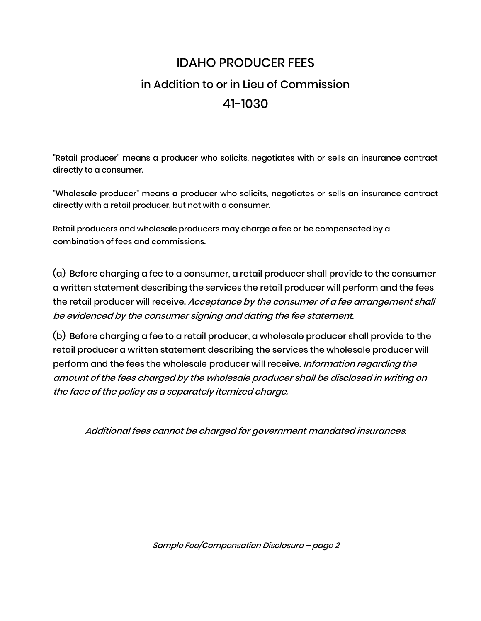## IDAHO PRODUCER FEES in Addition to or in Lieu of Commission 41-1030

"Retail producer" means a producer who solicits, negotiates with or sells an insurance contract directly to a consumer.

"Wholesale producer" means a producer who solicits, negotiates or sells an insurance contract directly with a retail producer, but not with a consumer.

Retail producers and wholesale producers may charge a fee or be compensated by a combination of fees and commissions.

(a) Before charging a fee to a consumer, a retail producer shall provide to the consumer a written statement describing the services the retail producer will perform and the fees the retail producer will receive. Acceptance by the consumer of a fee arrangement shall be evidenced by the consumer signing and dating the fee statement.

(b) Before charging a fee to a retail producer, a wholesale producer shall provide to the retail producer a written statement describing the services the wholesale producer will perform and the fees the wholesale producer will receive. Information regarding the amount of the fees charged by the wholesale producer shall be disclosed in writing on the face of the policy as a separately itemized charge.

Additional fees cannot be charged for government mandated insurances.

Sample Fee/Compensation Disclosure – page <sup>2</sup>